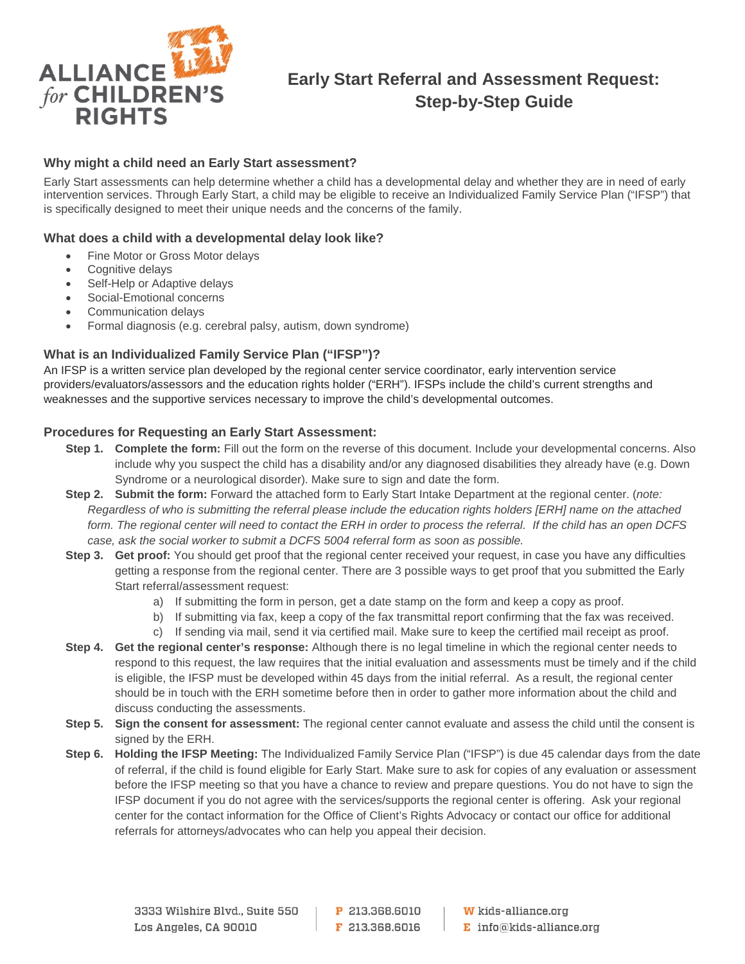

# **Early Start Referral and Assessment Request: Step-by-Step Guide**

# **Why might a child need an Early Start assessment?**

Early Start assessments can help determine whether a child has a developmental delay and whether they are in need of early intervention services. Through Early Start, a child may be eligible to receive an Individualized Family Service Plan ("IFSP") that is specifically designed to meet their unique needs and the concerns of the family.

# **What does a child with a developmental delay look like?**

- Fine Motor or Gross Motor delays
- Cognitive delays
- Self-Help or Adaptive delays
- Social-Emotional concerns
- Communication delays
- Formal diagnosis (e.g. cerebral palsy, autism, down syndrome)

# **What is an Individualized Family Service Plan ("IFSP")?**

An IFSP is a written service plan developed by the regional center service coordinator, early intervention service providers/evaluators/assessors and the education rights holder ("ERH"). IFSPs include the child's current strengths and weaknesses and the supportive services necessary to improve the child's developmental outcomes.

# **Procedures for Requesting an Early Start Assessment:**

- **Step 1. Complete the form:** Fill out the form on the reverse of this document. Include your developmental concerns. Also include why you suspect the child has a disability and/or any diagnosed disabilities they already have (e.g. Down Syndrome or a neurological disorder). Make sure to sign and date the form.
- **Step 2. Submit the form:** Forward the attached form to Early Start Intake Department at the regional center. (*note: Regardless of who is submitting the referral please include the education rights holders [ERH] name on the attached form. The regional center will need to contact the ERH in order to process the referral. If the child has an open DCFS case, ask the social worker to submit a DCFS 5004 referral form as soon as possible.*
- **Step 3. Get proof:** You should get proof that the regional center received your request, in case you have any difficulties getting a response from the regional center. There are 3 possible ways to get proof that you submitted the Early Start referral/assessment request:
	- a) If submitting the form in person, get a date stamp on the form and keep a copy as proof.
	- b) If submitting via fax, keep a copy of the fax transmittal report confirming that the fax was received.
	- c) If sending via mail, send it via certified mail. Make sure to keep the certified mail receipt as proof.
- **Step 4. Get the regional center's response:** Although there is no legal timeline in which the regional center needs to respond to this request, the law requires that the initial evaluation and assessments must be timely and if the child is eligible, the IFSP must be developed within 45 days from the initial referral. As a result, the regional center should be in touch with the ERH sometime before then in order to gather more information about the child and discuss conducting the assessments.
- **Step 5. Sign the consent for assessment:** The regional center cannot evaluate and assess the child until the consent is signed by the ERH.
- **Step 6. Holding the IFSP Meeting:** The Individualized Family Service Plan ("IFSP") is due 45 calendar days from the date of referral, if the child is found eligible for Early Start. Make sure to ask for copies of any evaluation or assessment before the IFSP meeting so that you have a chance to review and prepare questions. You do not have to sign the IFSP document if you do not agree with the services/supports the regional center is offering. Ask your regional center for the contact information for the Office of Client's Rights Advocacy or contact our office for additional referrals for attorneys/advocates who can help you appeal their decision.